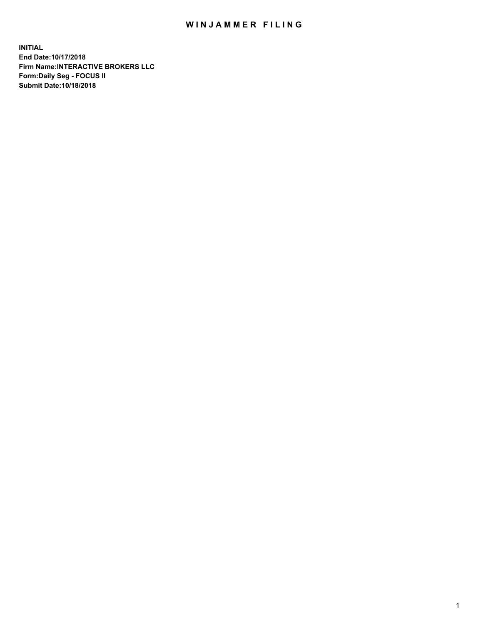## WIN JAMMER FILING

**INITIAL End Date:10/17/2018 Firm Name:INTERACTIVE BROKERS LLC Form:Daily Seg - FOCUS II Submit Date:10/18/2018**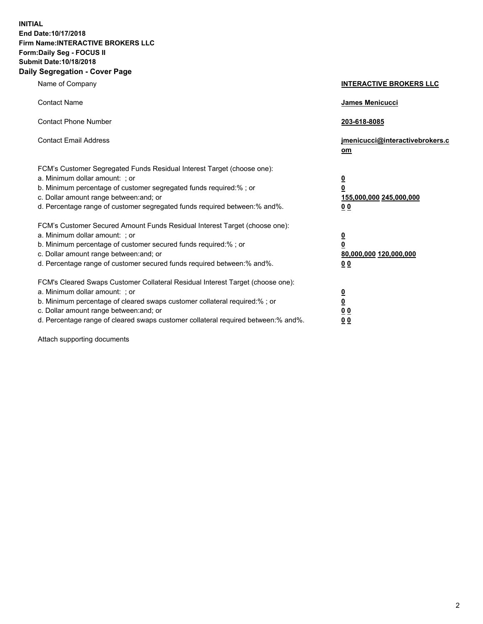**INITIAL End Date:10/17/2018 Firm Name:INTERACTIVE BROKERS LLC Form:Daily Seg - FOCUS II Submit Date:10/18/2018 Daily Segregation - Cover Page**

| Name of Company                                                                                                                                                                                                                                                                                                                | <b>INTERACTIVE BROKERS LLC</b>                                                                  |
|--------------------------------------------------------------------------------------------------------------------------------------------------------------------------------------------------------------------------------------------------------------------------------------------------------------------------------|-------------------------------------------------------------------------------------------------|
| <b>Contact Name</b>                                                                                                                                                                                                                                                                                                            | James Menicucci                                                                                 |
| <b>Contact Phone Number</b>                                                                                                                                                                                                                                                                                                    | 203-618-8085                                                                                    |
| <b>Contact Email Address</b>                                                                                                                                                                                                                                                                                                   | jmenicucci@interactivebrokers.c<br>om                                                           |
| FCM's Customer Segregated Funds Residual Interest Target (choose one):<br>a. Minimum dollar amount: ; or<br>b. Minimum percentage of customer segregated funds required:% ; or<br>c. Dollar amount range between: and; or<br>d. Percentage range of customer segregated funds required between:% and%.                         | $\overline{\mathbf{0}}$<br>$\overline{\mathbf{0}}$<br>155,000,000 245,000,000<br>0 <sub>0</sub> |
| FCM's Customer Secured Amount Funds Residual Interest Target (choose one):<br>a. Minimum dollar amount: ; or<br>b. Minimum percentage of customer secured funds required:%; or<br>c. Dollar amount range between: and; or<br>d. Percentage range of customer secured funds required between:% and%.                            | $\overline{\mathbf{0}}$<br>$\overline{\mathbf{0}}$<br>80,000,000 120,000,000<br>0 <sub>0</sub>  |
| FCM's Cleared Swaps Customer Collateral Residual Interest Target (choose one):<br>a. Minimum dollar amount: ; or<br>b. Minimum percentage of cleared swaps customer collateral required:% ; or<br>c. Dollar amount range between: and; or<br>d. Percentage range of cleared swaps customer collateral required between:% and%. | $\overline{\mathbf{0}}$<br>$\underline{\mathbf{0}}$<br>0 <sub>0</sub><br>0 <sub>0</sub>         |

Attach supporting documents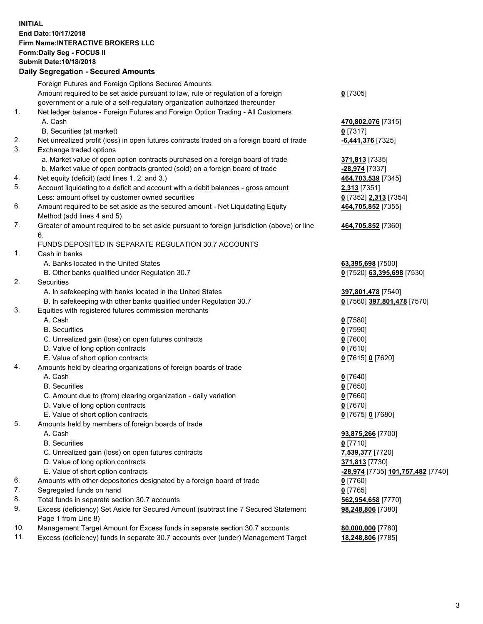## **INITIAL End Date:10/17/2018 Firm Name:INTERACTIVE BROKERS LLC Form:Daily Seg - FOCUS II Submit Date:10/18/2018 Daily Segregation - Secured Amounts**

|     | Daily Segregation - Secured Amounts                                                               |                                   |
|-----|---------------------------------------------------------------------------------------------------|-----------------------------------|
|     | Foreign Futures and Foreign Options Secured Amounts                                               |                                   |
|     | Amount required to be set aside pursuant to law, rule or regulation of a foreign                  | $0$ [7305]                        |
|     | government or a rule of a self-regulatory organization authorized thereunder                      |                                   |
| 1.  | Net ledger balance - Foreign Futures and Foreign Option Trading - All Customers                   |                                   |
|     | A. Cash                                                                                           | 470,802,076 [7315]                |
|     | B. Securities (at market)                                                                         | $0$ [7317]                        |
| 2.  | Net unrealized profit (loss) in open futures contracts traded on a foreign board of trade         | -6,441,376 [7325]                 |
| 3.  | Exchange traded options                                                                           |                                   |
|     | a. Market value of open option contracts purchased on a foreign board of trade                    | 371,813 [7335]                    |
|     | b. Market value of open contracts granted (sold) on a foreign board of trade                      | -28,974 [7337]                    |
| 4.  | Net equity (deficit) (add lines 1. 2. and 3.)                                                     | 464,703,539 [7345]                |
| 5.  | Account liquidating to a deficit and account with a debit balances - gross amount                 | 2,313 [7351]                      |
|     | Less: amount offset by customer owned securities                                                  | 0 [7352] 2,313 [7354]             |
| 6.  | Amount required to be set aside as the secured amount - Net Liquidating Equity                    | 464,705,852 [7355]                |
|     | Method (add lines 4 and 5)                                                                        |                                   |
| 7.  | Greater of amount required to be set aside pursuant to foreign jurisdiction (above) or line<br>6. | 464,705,852 [7360]                |
|     | FUNDS DEPOSITED IN SEPARATE REGULATION 30.7 ACCOUNTS                                              |                                   |
| 1.  | Cash in banks                                                                                     |                                   |
|     | A. Banks located in the United States                                                             | 63,395,698 [7500]                 |
|     | B. Other banks qualified under Regulation 30.7                                                    | 0 [7520] 63,395,698 [7530]        |
| 2.  | Securities                                                                                        |                                   |
|     | A. In safekeeping with banks located in the United States                                         | 397,801,478 [7540]                |
|     | B. In safekeeping with other banks qualified under Regulation 30.7                                | 0 [7560] 397,801,478 [7570]       |
| 3.  | Equities with registered futures commission merchants                                             |                                   |
|     | A. Cash                                                                                           | $0$ [7580]                        |
|     | <b>B.</b> Securities                                                                              | $0$ [7590]                        |
|     | C. Unrealized gain (loss) on open futures contracts                                               | $0$ [7600]                        |
|     | D. Value of long option contracts                                                                 | $0$ [7610]                        |
|     | E. Value of short option contracts                                                                | 0 [7615] 0 [7620]                 |
| 4.  | Amounts held by clearing organizations of foreign boards of trade                                 |                                   |
|     | A. Cash                                                                                           | $0$ [7640]                        |
|     | <b>B.</b> Securities                                                                              | $0$ [7650]                        |
|     | C. Amount due to (from) clearing organization - daily variation                                   | $0$ [7660]                        |
|     | D. Value of long option contracts                                                                 | $0$ [7670]                        |
|     | E. Value of short option contracts                                                                | 0 [7675] 0 [7680]                 |
| 5.  | Amounts held by members of foreign boards of trade                                                |                                   |
|     | A. Cash                                                                                           | 93,875,266 [7700]                 |
|     | <b>B.</b> Securities                                                                              | $0$ [7710]                        |
|     | C. Unrealized gain (loss) on open futures contracts                                               | 7,539,377 [7720]                  |
|     | D. Value of long option contracts                                                                 | 371,813 [7730]                    |
|     | E. Value of short option contracts                                                                | -28,974 [7735] 101,757,482 [7740] |
| 6.  | Amounts with other depositories designated by a foreign board of trade                            | $0$ [7760]                        |
| 7.  | Segregated funds on hand                                                                          | $0$ [7765]                        |
| 8.  | Total funds in separate section 30.7 accounts                                                     | 562,954,658 [7770]                |
| 9.  | Excess (deficiency) Set Aside for Secured Amount (subtract line 7 Secured Statement               | 98,248,806 [7380]                 |
|     | Page 1 from Line 8)                                                                               |                                   |
| 10. | Management Target Amount for Excess funds in separate section 30.7 accounts                       | 80,000,000 [7780]                 |
| 11. | Excess (deficiency) funds in separate 30.7 accounts over (under) Management Target                | 18,248,806 [7785]                 |
|     |                                                                                                   |                                   |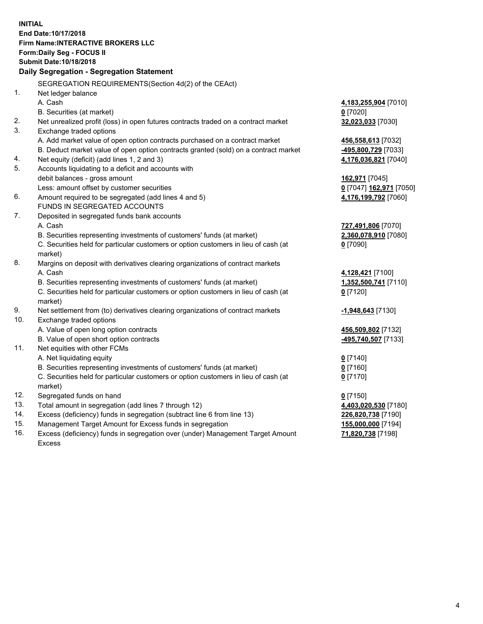**INITIAL End Date:10/17/2018 Firm Name:INTERACTIVE BROKERS LLC Form:Daily Seg - FOCUS II Submit Date:10/18/2018 Daily Segregation - Segregation Statement** SEGREGATION REQUIREMENTS(Section 4d(2) of the CEAct) 1. Net ledger balance A. Cash **4,183,255,904** [7010] B. Securities (at market) **0** [7020] 2. Net unrealized profit (loss) in open futures contracts traded on a contract market **32,023,033** [7030] 3. Exchange traded options A. Add market value of open option contracts purchased on a contract market **456,558,613** [7032] B. Deduct market value of open option contracts granted (sold) on a contract market **-495,800,729** [7033] 4. Net equity (deficit) (add lines 1, 2 and 3) **4,176,036,821** [7040] 5. Accounts liquidating to a deficit and accounts with debit balances - gross amount **162,971** [7045] Less: amount offset by customer securities **0** [7047] **162,971** [7050] 6. Amount required to be segregated (add lines 4 and 5) **4,176,199,792** [7060] FUNDS IN SEGREGATED ACCOUNTS 7. Deposited in segregated funds bank accounts A. Cash **727,491,806** [7070] B. Securities representing investments of customers' funds (at market) **2,360,078,910** [7080] C. Securities held for particular customers or option customers in lieu of cash (at market) **0** [7090] 8. Margins on deposit with derivatives clearing organizations of contract markets A. Cash **4,128,421** [7100] B. Securities representing investments of customers' funds (at market) **1,352,500,741** [7110] C. Securities held for particular customers or option customers in lieu of cash (at market) **0** [7120] 9. Net settlement from (to) derivatives clearing organizations of contract markets **-1,948,643** [7130] 10. Exchange traded options A. Value of open long option contracts **456,509,802** [7132] B. Value of open short option contracts **-495,740,507** [7133] 11. Net equities with other FCMs A. Net liquidating equity **0** [7140] B. Securities representing investments of customers' funds (at market) **0** [7160] C. Securities held for particular customers or option customers in lieu of cash (at market) **0** [7170] 12. Segregated funds on hand **0** [7150] 13. Total amount in segregation (add lines 7 through 12) **4,403,020,530** [7180] 14. Excess (deficiency) funds in segregation (subtract line 6 from line 13) **226,820,738** [7190] 15. Management Target Amount for Excess funds in segregation **155,000,000** [7194]

16. Excess (deficiency) funds in segregation over (under) Management Target Amount Excess

**71,820,738** [7198]